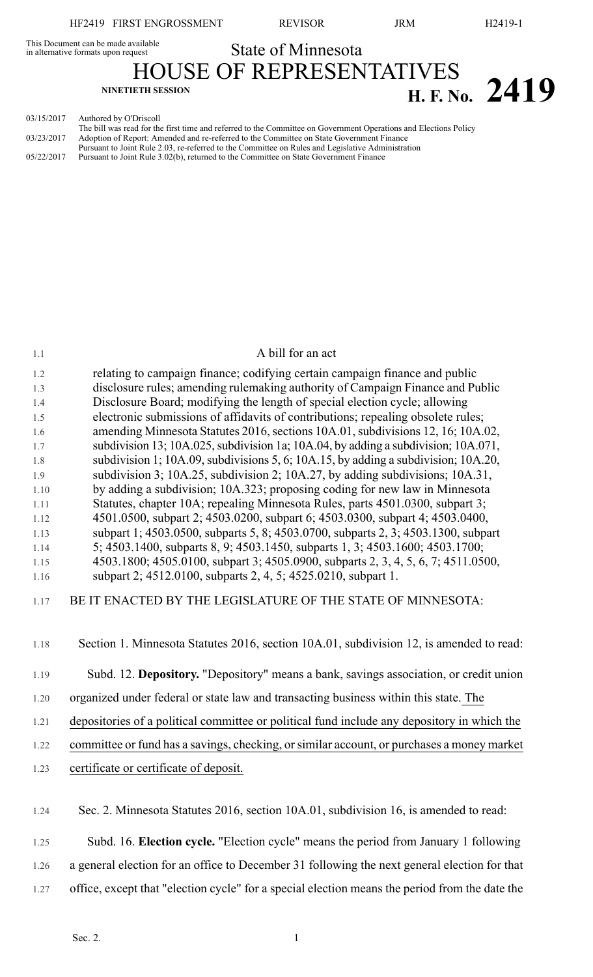This Document can be made available<br>in alternative formats upon request **State of Minnesota** 

HOUSE OF REPRESENTATIVES **NINETIETH SESSION H. F. No. 2419**

03/15/2017 Authored by O'Driscoll

The bill was read for the first time and referred to the Committee on Government Operations and Elections Policy 03/23/2017 Adoption of Report: Amended and re-referred to the Committee on State Government Finance Pursuant to Joint Rule 2.03, re-referred to the Committee on Rules and Legislative Administration 05/22/2017 Pursuant to Joint Rule 3.02(b), returned to the Committee on State Government Finance

| 1.1  | A bill for an act                                                                            |
|------|----------------------------------------------------------------------------------------------|
| 1.2  | relating to campaign finance; codifying certain campaign finance and public                  |
| 1.3  | disclosure rules; amending rulemaking authority of Campaign Finance and Public               |
| 1.4  | Disclosure Board; modifying the length of special election cycle; allowing                   |
| 1.5  | electronic submissions of affidavits of contributions; repealing obsolete rules;             |
| 1.6  | amending Minnesota Statutes 2016, sections 10A.01, subdivisions 12, 16; 10A.02,              |
| 1.7  | subdivision 13; 10A.025, subdivision 1a; 10A.04, by adding a subdivision; 10A.071,           |
| 1.8  | subdivision 1; 10A.09, subdivisions 5, 6; 10A.15, by adding a subdivision; 10A.20,           |
| 1.9  | subdivision 3; 10A.25, subdivision 2; 10A.27, by adding subdivisions; 10A.31,                |
| 1.10 | by adding a subdivision; 10A.323; proposing coding for new law in Minnesota                  |
| 1.11 | Statutes, chapter 10A; repealing Minnesota Rules, parts 4501.0300, subpart 3;                |
| 1.12 | 4501.0500, subpart 2; 4503.0200, subpart 6; 4503.0300, subpart 4; 4503.0400,                 |
| 1.13 | subpart 1; 4503.0500, subparts 5, 8; 4503.0700, subparts 2, 3; 4503.1300, subpart            |
| 1.14 | 5; 4503.1400, subparts 8, 9; 4503.1450, subparts 1, 3; 4503.1600; 4503.1700;                 |
| 1.15 | 4503.1800; 4505.0100, subpart 3; 4505.0900, subparts 2, 3, 4, 5, 6, 7; 4511.0500,            |
| 1.16 | subpart 2; 4512.0100, subparts 2, 4, 5; 4525.0210, subpart 1.                                |
| 1.17 | BE IT ENACTED BY THE LEGISLATURE OF THE STATE OF MINNESOTA:                                  |
| 1.18 | Section 1. Minnesota Statutes 2016, section 10A.01, subdivision 12, is amended to read:      |
| 1.19 | Subd. 12. Depository. "Depository" means a bank, savings association, or credit union        |
| 1.20 | organized under federal or state law and transacting business within this state. The         |
| 1.21 | depositories of a political committee or political fund include any depository in which the  |
| 1.22 | committee or fund has a savings, checking, or similar account, or purchases a money market   |
| 1.23 | certificate or certificate of deposit.                                                       |
|      |                                                                                              |
| 1.24 | Sec. 2. Minnesota Statutes 2016, section 10A.01, subdivision 16, is amended to read:         |
| 1.25 | Subd. 16. Election cycle. "Election cycle" means the period from January 1 following         |
| 1.26 | a general election for an office to December 31 following the next general election for that |

1.27 office, except that "election cycle" for a special election means the period from the date the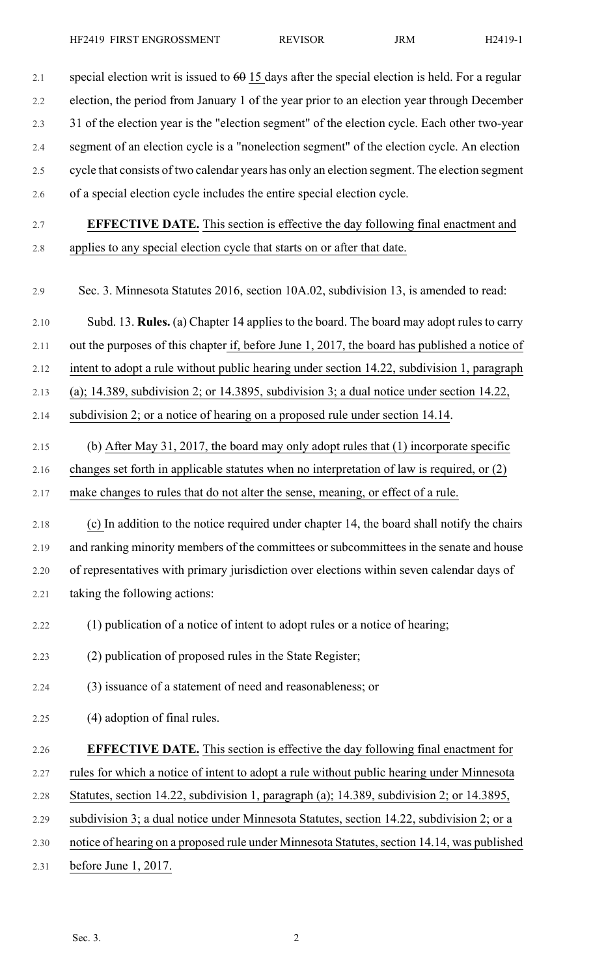| $2.1\,$ | special election writ is issued to $60$ 15 days after the special election is held. For a regular |
|---------|---------------------------------------------------------------------------------------------------|
| 2.2     | election, the period from January 1 of the year prior to an election year through December        |
| 2.3     | 31 of the election year is the "election segment" of the election cycle. Each other two-year      |
| 2.4     | segment of an election cycle is a "nonelection segment" of the election cycle. An election        |
| 2.5     | cycle that consists of two calendar years has only an election segment. The election segment      |
| 2.6     | of a special election cycle includes the entire special election cycle.                           |
| 2.7     | <b>EFFECTIVE DATE.</b> This section is effective the day following final enactment and            |
| $2.8\,$ | applies to any special election cycle that starts on or after that date.                          |
| 2.9     | Sec. 3. Minnesota Statutes 2016, section 10A.02, subdivision 13, is amended to read:              |
| 2.10    | Subd. 13. <b>Rules.</b> (a) Chapter 14 applies to the board. The board may adopt rules to carry   |
| 2.11    | out the purposes of this chapter if, before June 1, 2017, the board has published a notice of     |
| 2.12    | intent to adopt a rule without public hearing under section 14.22, subdivision 1, paragraph       |
| 2.13    | (a); 14.389, subdivision 2; or 14.3895, subdivision 3; a dual notice under section $14.22$ ,      |
| 2.14    | subdivision 2; or a notice of hearing on a proposed rule under section 14.14.                     |
| 2.15    | (b) After May 31, 2017, the board may only adopt rules that $(1)$ incorporate specific            |
| 2.16    | changes set forth in applicable statutes when no interpretation of law is required, or (2)        |
| 2.17    | make changes to rules that do not alter the sense, meaning, or effect of a rule.                  |
| 2.18    | (c) In addition to the notice required under chapter 14, the board shall notify the chairs        |
| 2.19    | and ranking minority members of the committees or subcommittees in the senate and house           |
| 2.20    | of representatives with primary jurisdiction over elections within seven calendar days of         |
| 2.21    | taking the following actions:                                                                     |
| 2.22    | (1) publication of a notice of intent to adopt rules or a notice of hearing;                      |
| 2.23    | (2) publication of proposed rules in the State Register;                                          |
| 2.24    | (3) issuance of a statement of need and reasonableness; or                                        |
| 2.25    | (4) adoption of final rules.                                                                      |
| 2.26    | <b>EFFECTIVE DATE.</b> This section is effective the day following final enactment for            |
| 2.27    | rules for which a notice of intent to adopt a rule without public hearing under Minnesota         |
| 2.28    | Statutes, section 14.22, subdivision 1, paragraph (a); 14.389, subdivision 2; or 14.3895,         |
| 2.29    | subdivision 3; a dual notice under Minnesota Statutes, section 14.22, subdivision 2; or a         |
| 2.30    | notice of hearing on a proposed rule under Minnesota Statutes, section 14.14, was published       |
| 2.31    | before June $1, 2017$ .                                                                           |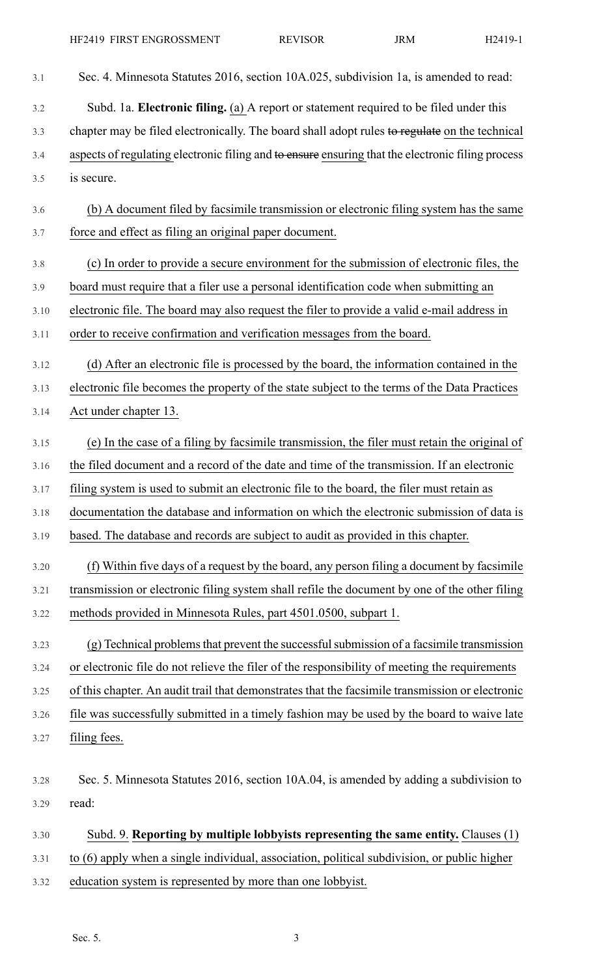3.1 Sec. 4. Minnesota Statutes 2016, section 10A.025, subdivision 1a, is amended to read: 3.2 Subd. 1a. **Electronic filing.** (a) A report or statement required to be filed under this 3.3 chapter may be filed electronically. The board shall adopt rules to regulate on the technical 3.4 aspects of regulating electronic filing and to ensure ensuring that the electronic filing process 3.5 is secure. 3.6 (b) A document filed by facsimile transmission or electronic filing system has the same 3.7 force and effect as filing an original paper document. 3.8 (c) In order to provide a secure environment for the submission of electronic files, the 3.9 board must require that a filer use a personal identification code when submitting an 3.10 electronic file. The board may also request the filer to provide a valid e-mail address in 3.11 order to receive confirmation and verification messages from the board. 3.12 (d) After an electronic file is processed by the board, the information contained in the 3.13 electronic file becomes the property of the state subject to the terms of the Data Practices 3.14 Act under chapter 13. 3.15 (e) In the case of a filing by facsimile transmission, the filer must retain the original of 3.16 the filed document and a record of the date and time of the transmission. If an electronic 3.17 filing system is used to submit an electronic file to the board, the filer must retain as 3.18 documentation the database and information on which the electronic submission of data is 3.19 based. The database and records are subject to audit as provided in this chapter. 3.20 (f) Within five days of a request by the board, any person filing a document by facsimile 3.21 transmission or electronic filing system shall refile the document by one of the other filing 3.22 methods provided in Minnesota Rules, part 4501.0500, subpart 1. 3.23 (g) Technical problemsthat prevent the successfulsubmission of a facsimile transmission 3.24 or electronic file do not relieve the filer of the responsibility of meeting the requirements 3.25 of this chapter. An audit trail that demonstrates that the facsimile transmission or electronic 3.26 file was successfully submitted in a timely fashion may be used by the board to waive late 3.27 filing fees. 3.28 Sec. 5. Minnesota Statutes 2016, section 10A.04, is amended by adding a subdivision to 3.29 read: 3.30 Subd. 9. **Reporting by multiple lobbyists representing the same entity.** Clauses (1) 3.31 to (6) apply when a single individual, association, political subdivision, or public higher 3.32 education system is represented by more than one lobbyist.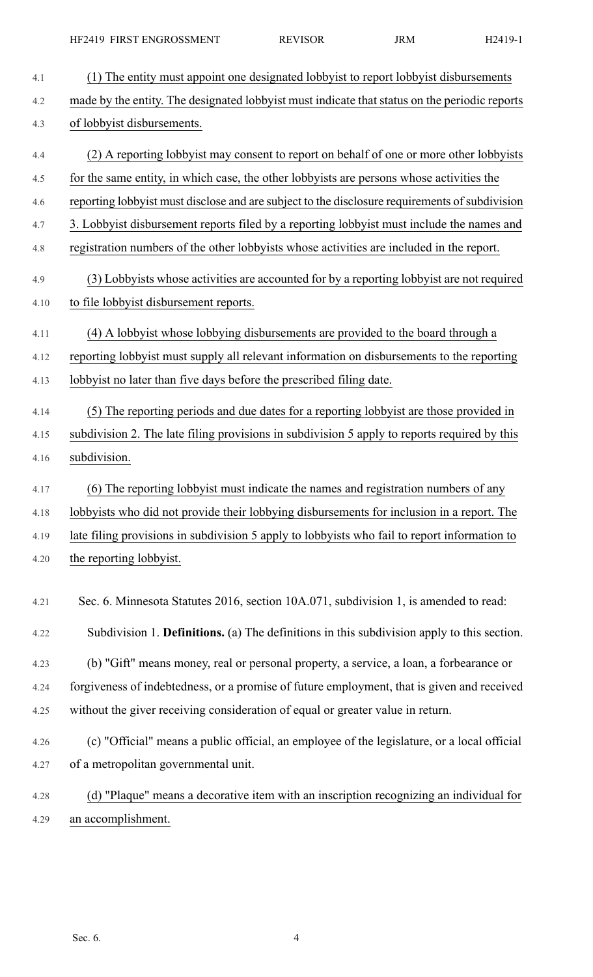| 4.1  | (1) The entity must appoint one designated lobby ist to report lobby ist disbursements          |
|------|-------------------------------------------------------------------------------------------------|
| 4.2  | made by the entity. The designated lobby ist must indicate that status on the periodic reports  |
| 4.3  | of lobbyist disbursements.                                                                      |
| 4.4  | (2) A reporting lobby ist may consent to report on behalf of one or more other lobby ists       |
| 4.5  | for the same entity, in which case, the other lobbyists are persons whose activities the        |
| 4.6  | reporting lobby ist must disclose and are subject to the disclosure requirements of subdivision |
| 4.7  | 3. Lobbyist disbursement reports filed by a reporting lobbyist must include the names and       |
| 4.8  | registration numbers of the other lobbyists whose activities are included in the report.        |
| 4.9  | (3) Lobbyists whose activities are accounted for by a reporting lobbyist are not required       |
| 4.10 | to file lobbyist disbursement reports.                                                          |
| 4.11 | (4) A lobbyist whose lobbying disbursements are provided to the board through a                 |
| 4.12 | reporting lobbyist must supply all relevant information on disbursements to the reporting       |
| 4.13 | lobby ist no later than five days before the prescribed filing date.                            |
| 4.14 | (5) The reporting periods and due dates for a reporting lobby ist are those provided in         |
| 4.15 | subdivision 2. The late filing provisions in subdivision 5 apply to reports required by this    |
| 4.16 | subdivision.                                                                                    |
| 4.17 | (6) The reporting lobby ist must indicate the names and registration numbers of any             |
| 4.18 | lobbyists who did not provide their lobbying disbursements for inclusion in a report. The       |
| 4.19 | late filing provisions in subdivision 5 apply to lobbyists who fail to report information to    |
| 4.20 | the reporting lobbyist.                                                                         |
| 4.21 | Sec. 6. Minnesota Statutes 2016, section 10A.071, subdivision 1, is amended to read:            |
| 4.22 | Subdivision 1. Definitions. (a) The definitions in this subdivision apply to this section.      |
| 4.23 | (b) "Gift" means money, real or personal property, a service, a loan, a forbearance or          |
| 4.24 | forgiveness of indebtedness, or a promise of future employment, that is given and received      |
| 4.25 | without the giver receiving consideration of equal or greater value in return.                  |
| 4.26 | (c) "Official" means a public official, an employee of the legislature, or a local official     |
| 4.27 | of a metropolitan governmental unit.                                                            |
| 4.28 | (d) "Plaque" means a decorative item with an inscription recognizing an individual for          |
| 4.29 | an accomplishment.                                                                              |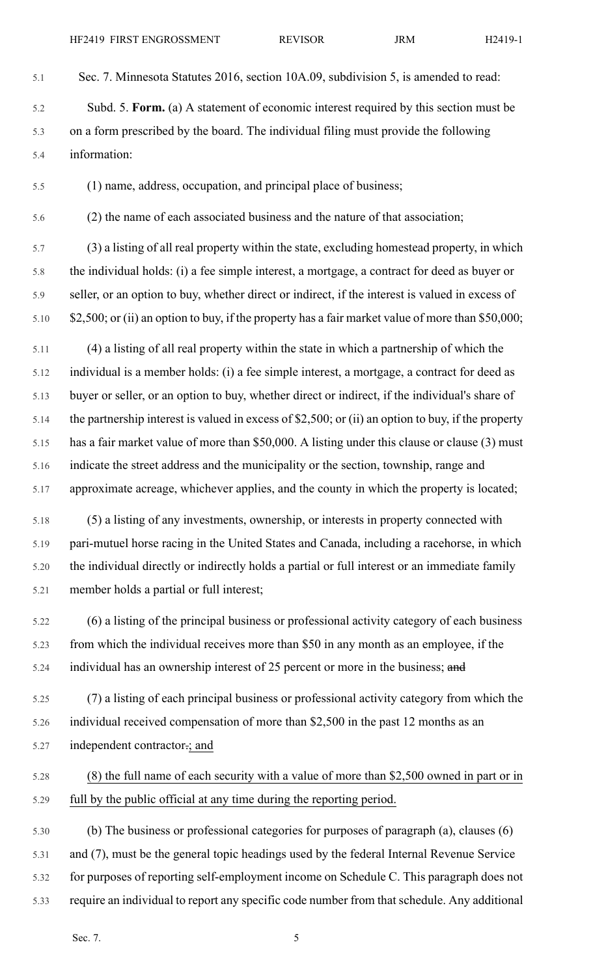5.1 Sec. 7. Minnesota Statutes 2016, section 10A.09, subdivision 5, is amended to read:

5.2 Subd. 5. **Form.** (a) A statement of economic interest required by this section must be 5.3 on a form prescribed by the board. The individual filing must provide the following 5.4 information:

5.5 (1) name, address, occupation, and principal place of business;

5.6 (2) the name of each associated business and the nature of that association;

5.7 (3) a listing of all real property within the state, excluding homestead property, in which 5.8 the individual holds: (i) a fee simple interest, a mortgage, a contract for deed as buyer or 5.9 seller, or an option to buy, whether direct or indirect, if the interest is valued in excess of 5.10 \$2,500; or (ii) an option to buy, if the property has a fair market value of more than \$50,000;

5.11 (4) a listing of all real property within the state in which a partnership of which the 5.12 individual is a member holds: (i) a fee simple interest, a mortgage, a contract for deed as 5.13 buyer or seller, or an option to buy, whether direct or indirect, if the individual's share of 5.14 the partnership interest is valued in excess of \$2,500; or (ii) an option to buy, if the property 5.15 has a fair market value of more than \$50,000. A listing under this clause or clause (3) must 5.16 indicate the street address and the municipality or the section, township, range and 5.17 approximate acreage, whichever applies, and the county in which the property is located;

5.18 (5) a listing of any investments, ownership, or interests in property connected with 5.19 pari-mutuel horse racing in the United States and Canada, including a racehorse, in which 5.20 the individual directly or indirectly holds a partial or full interest or an immediate family 5.21 member holds a partial or full interest;

5.22 (6) a listing of the principal business or professional activity category of each business 5.23 from which the individual receives more than \$50 in any month as an employee, if the 5.24 individual has an ownership interest of 25 percent or more in the business; and

5.25 (7) a listing of each principal business or professional activity category from which the 5.26 individual received compensation of more than \$2,500 in the past 12 months as an 5.27 independent contractor.; and

## 5.28 (8) the full name of each security with a value of more than \$2,500 owned in part or in 5.29 full by the public official at any time during the reporting period.

5.30 (b) The business or professional categories for purposes of paragraph (a), clauses (6) 5.31 and (7), must be the general topic headings used by the federal Internal Revenue Service 5.32 for purposes of reporting self-employment income on Schedule C. This paragraph does not 5.33 require an individual to report any specific code number from that schedule. Any additional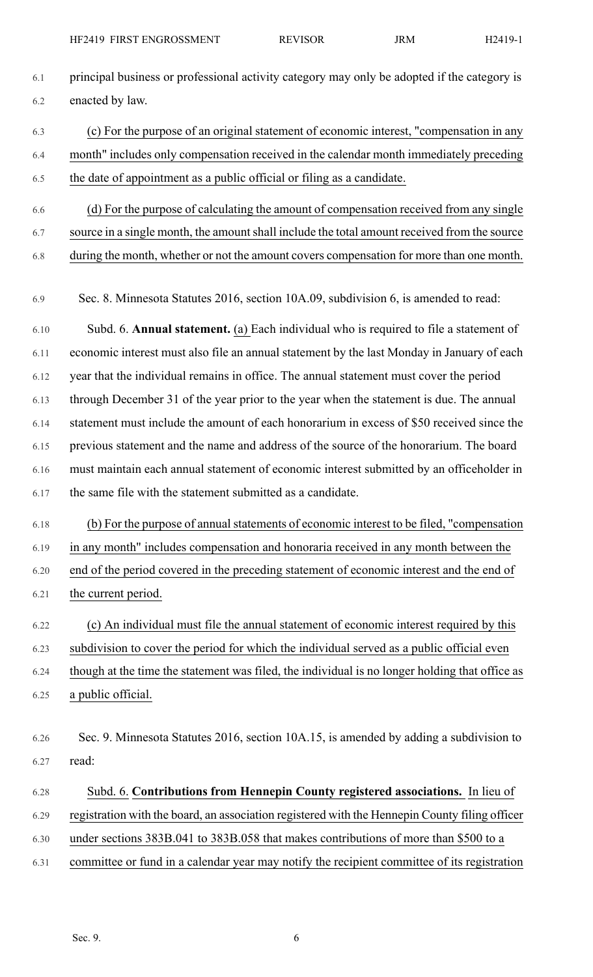- 6.1 principal business or professional activity category may only be adopted if the category is 6.2 enacted by law.
- 6.3 (c) For the purpose of an original statement of economic interest, "compensation in any 6.4 month" includes only compensation received in the calendar month immediately preceding 6.5 the date of appointment as a public official or filing as a candidate.
- 6.6 (d) For the purpose of calculating the amount of compensation received from any single 6.7 source in a single month, the amount shall include the total amount received from the source 6.8 during the month, whether or not the amount covers compensation for more than one month.
- 6.9 Sec. 8. Minnesota Statutes 2016, section 10A.09, subdivision 6, is amended to read:
- 6.10 Subd. 6. **Annual statement.** (a) Each individual who is required to file a statement of 6.11 economic interest must also file an annual statement by the last Monday in January of each 6.12 year that the individual remains in office. The annual statement must cover the period 6.13 through December 31 of the year prior to the year when the statement is due. The annual 6.14 statement must include the amount of each honorarium in excess of \$50 received since the 6.15 previous statement and the name and address of the source of the honorarium. The board 6.16 must maintain each annual statement of economic interest submitted by an officeholder in 6.17 the same file with the statement submitted as a candidate.
- 6.18 (b) For the purpose of annual statements of economic interest to be filed, "compensation 6.19 in any month" includes compensation and honoraria received in any month between the 6.20 end of the period covered in the preceding statement of economic interest and the end of
- 6.21 the current period.
	- 6.22 (c) An individual must file the annual statement of economic interest required by this

6.23 subdivision to cover the period for which the individual served as a public official even

6.24 though at the time the statement was filed, the individual is no longer holding that office as 6.25 a public official.

- 6.26 Sec. 9. Minnesota Statutes 2016, section 10A.15, is amended by adding a subdivision to 6.27 read:
- 6.28 Subd. 6. **Contributions from Hennepin County registered associations.** In lieu of 6.29 registration with the board, an association registered with the Hennepin County filing officer 6.30 under sections 383B.041 to 383B.058 that makes contributions of more than \$500 to a 6.31 committee or fund in a calendar year may notify the recipient committee of its registration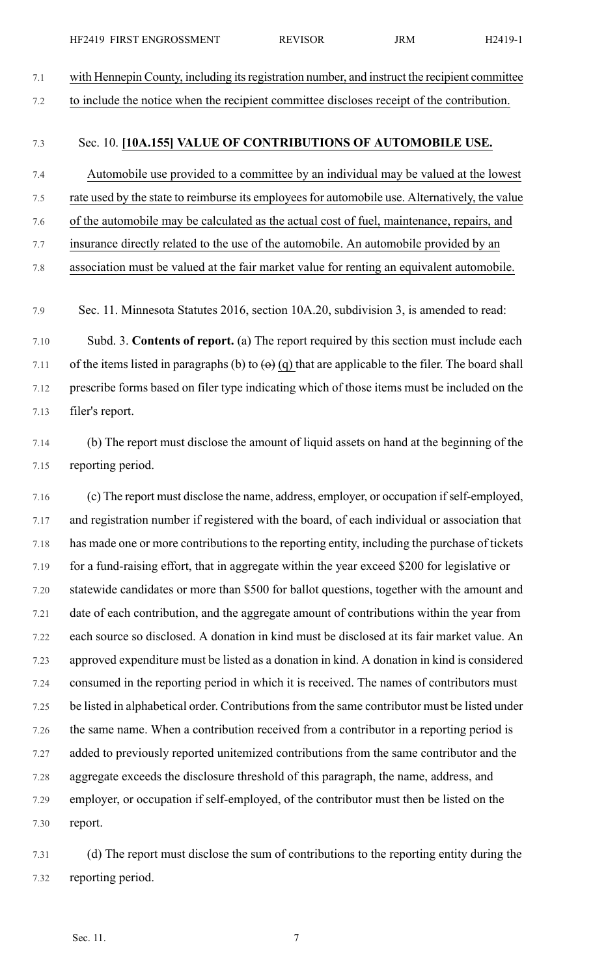7.1 with Hennepin County, including itsregistration number, and instruct the recipient committee 7.2 to include the notice when the recipient committee discloses receipt of the contribution.

## 7.3 Sec. 10. **[10A.155] VALUE OF CONTRIBUTIONS OF AUTOMOBILE USE.**

- 7.4 Automobile use provided to a committee by an individual may be valued at the lowest 7.5 rate used by the state to reimburse its employees for automobile use. Alternatively, the value 7.6 of the automobile may be calculated as the actual cost of fuel, maintenance, repairs, and
- 7.7 insurance directly related to the use of the automobile. An automobile provided by an
- 7.8 association must be valued at the fair market value for renting an equivalent automobile.

7.9 Sec. 11. Minnesota Statutes 2016, section 10A.20, subdivision 3, is amended to read:

7.10 Subd. 3. **Contents of report.** (a) The report required by this section must include each 7.11 of the items listed in paragraphs (b) to  $\left(\Theta\right)$  (q) that are applicable to the filer. The board shall 7.12 prescribe forms based on filer type indicating which of those items must be included on the 7.13 filer's report.

7.14 (b) The report must disclose the amount of liquid assets on hand at the beginning of the 7.15 reporting period.

7.16 (c) The report must disclose the name, address, employer, or occupation ifself-employed, 7.17 and registration number if registered with the board, of each individual or association that 7.18 has made one or more contributions to the reporting entity, including the purchase of tickets 7.19 for a fund-raising effort, that in aggregate within the year exceed \$200 for legislative or 7.20 statewide candidates or more than \$500 for ballot questions, together with the amount and 7.21 date of each contribution, and the aggregate amount of contributions within the year from 7.22 each source so disclosed. A donation in kind must be disclosed at its fair market value. An 7.23 approved expenditure must be listed as a donation in kind. A donation in kind is considered 7.24 consumed in the reporting period in which it is received. The names of contributors must 7.25 be listed in alphabetical order. Contributionsfrom the same contributor must be listed under 7.26 the same name. When a contribution received from a contributor in a reporting period is 7.27 added to previously reported unitemized contributions from the same contributor and the 7.28 aggregate exceeds the disclosure threshold of this paragraph, the name, address, and 7.29 employer, or occupation if self-employed, of the contributor must then be listed on the 7.30 report.

7.31 (d) The report must disclose the sum of contributions to the reporting entity during the 7.32 reporting period.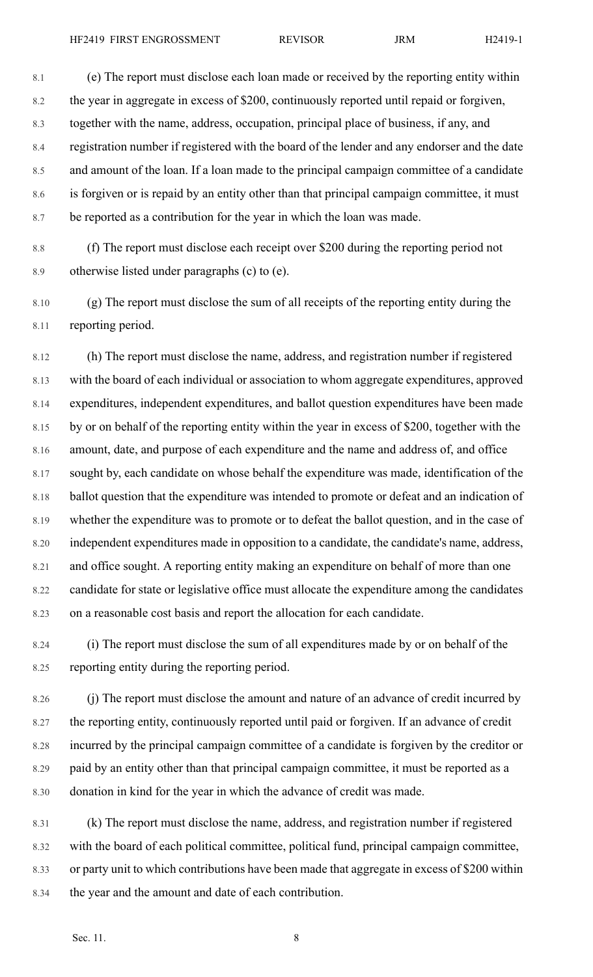8.1 (e) The report must disclose each loan made or received by the reporting entity within 8.2 the year in aggregate in excess of \$200, continuously reported until repaid or forgiven, 8.3 together with the name, address, occupation, principal place of business, if any, and 8.4 registration number if registered with the board of the lender and any endorser and the date 8.5 and amount of the loan. If a loan made to the principal campaign committee of a candidate 8.6 is forgiven or is repaid by an entity other than that principal campaign committee, it must 8.7 be reported as a contribution for the year in which the loan was made.

8.8 (f) The report must disclose each receipt over \$200 during the reporting period not 8.9 otherwise listed under paragraphs (c) to (e).

8.10 (g) The report must disclose the sum of all receipts of the reporting entity during the 8.11 reporting period.

8.12 (h) The report must disclose the name, address, and registration number if registered 8.13 with the board of each individual or association to whom aggregate expenditures, approved 8.14 expenditures, independent expenditures, and ballot question expenditures have been made 8.15 by or on behalf of the reporting entity within the year in excess of \$200, together with the 8.16 amount, date, and purpose of each expenditure and the name and address of, and office 8.17 sought by, each candidate on whose behalf the expenditure was made, identification of the 8.18 ballot question that the expenditure was intended to promote or defeat and an indication of 8.19 whether the expenditure was to promote or to defeat the ballot question, and in the case of 8.20 independent expenditures made in opposition to a candidate, the candidate's name, address, 8.21 and office sought. A reporting entity making an expenditure on behalf of more than one 8.22 candidate for state or legislative office must allocate the expenditure among the candidates 8.23 on a reasonable cost basis and report the allocation for each candidate.

8.24 (i) The report must disclose the sum of all expenditures made by or on behalf of the 8.25 reporting entity during the reporting period.

8.26 (j) The report must disclose the amount and nature of an advance of credit incurred by 8.27 the reporting entity, continuously reported until paid or forgiven. If an advance of credit 8.28 incurred by the principal campaign committee of a candidate is forgiven by the creditor or 8.29 paid by an entity other than that principal campaign committee, it must be reported as a 8.30 donation in kind for the year in which the advance of credit was made.

8.31 (k) The report must disclose the name, address, and registration number if registered 8.32 with the board of each political committee, political fund, principal campaign committee, 8.33 or party unit to which contributions have been made that aggregate in excess of \$200 within 8.34 the year and the amount and date of each contribution.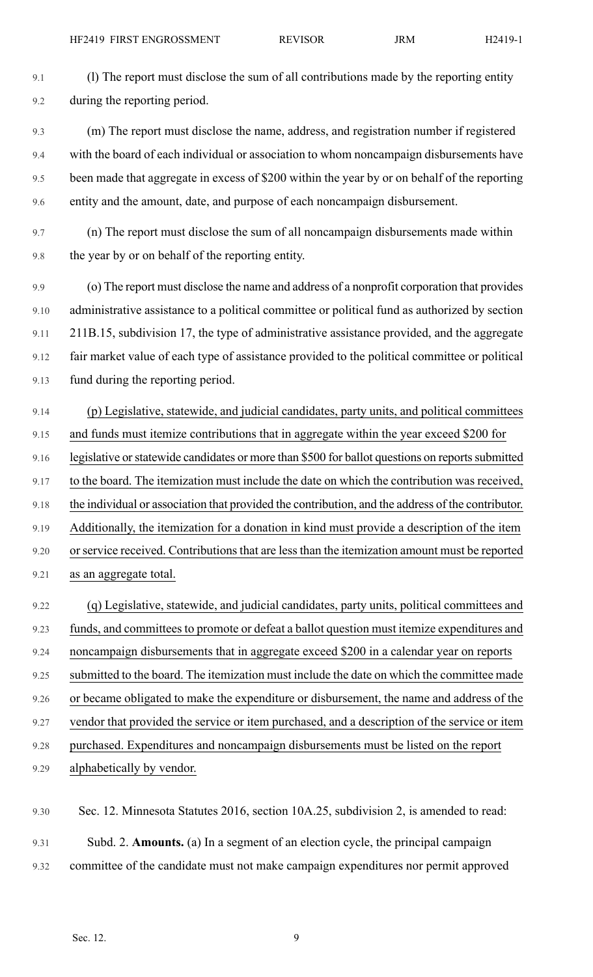9.1 (l) The report must disclose the sum of all contributions made by the reporting entity 9.2 during the reporting period.

- 9.3 (m) The report must disclose the name, address, and registration number if registered 9.4 with the board of each individual or association to whom noncampaign disbursements have 9.5 been made that aggregate in excess of \$200 within the year by or on behalf of the reporting 9.6 entity and the amount, date, and purpose of each noncampaign disbursement.
- 9.7 (n) The report must disclose the sum of all noncampaign disbursements made within 9.8 the year by or on behalf of the reporting entity.
- 9.9 (o) The report must disclose the name and address of a nonprofit corporation that provides 9.10 administrative assistance to a political committee or political fund as authorized by section 9.11 211B.15, subdivision 17, the type of administrative assistance provided, and the aggregate 9.12 fair market value of each type of assistance provided to the political committee or political 9.13 fund during the reporting period.
- 9.14 (p) Legislative, statewide, and judicial candidates, party units, and political committees 9.15 and funds must itemize contributions that in aggregate within the year exceed \$200 for 9.16 legislative or statewide candidates or more than \$500 for ballot questions on reports submitted 9.17 to the board. The itemization must include the date on which the contribution was received, 9.18 the individual or association that provided the contribution, and the address of the contributor. 9.19 Additionally, the itemization for a donation in kind must provide a description of the item 9.20 or service received. Contributions that are less than the itemization amount must be reported 9.21 as an aggregate total.
- 9.22 (q) Legislative, statewide, and judicial candidates, party units, political committees and 9.23 funds, and committees to promote or defeat a ballot question must itemize expenditures and 9.24 noncampaign disbursements that in aggregate exceed \$200 in a calendar year on reports 9.25 submitted to the board. The itemization must include the date on which the committee made 9.26 or became obligated to make the expenditure or disbursement, the name and address of the 9.27 vendor that provided the service or item purchased, and a description of the service or item 9.28 purchased. Expenditures and noncampaign disbursements must be listed on the report 9.29 alphabetically by vendor.
- 9.30 Sec. 12. Minnesota Statutes 2016, section 10A.25, subdivision 2, is amended to read: 9.31 Subd. 2. **Amounts.** (a) In a segment of an election cycle, the principal campaign 9.32 committee of the candidate must not make campaign expenditures nor permit approved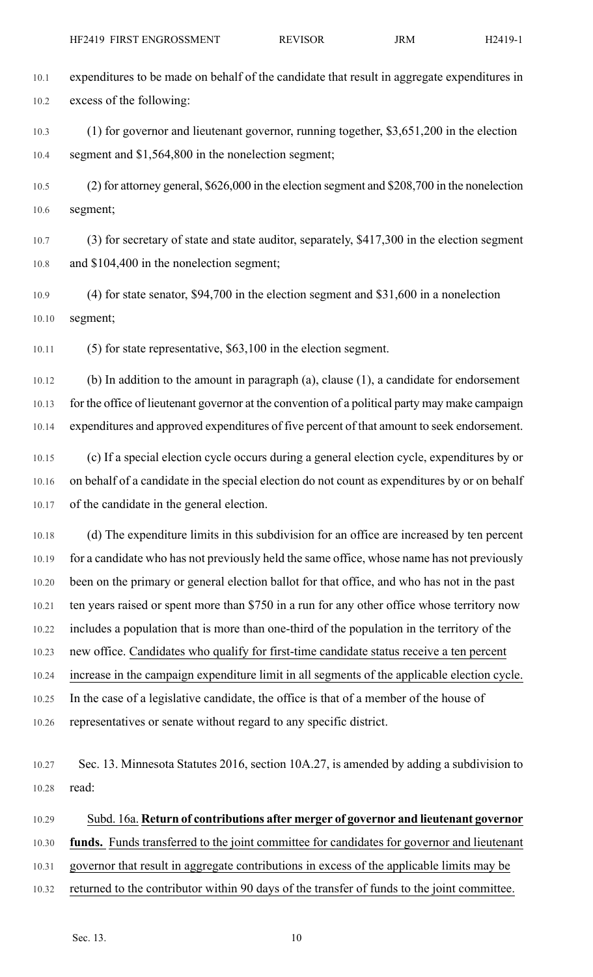10.1 expenditures to be made on behalf of the candidate that result in aggregate expenditures in 10.2 excess of the following:

10.3 (1) for governor and lieutenant governor, running together, \$3,651,200 in the election 10.4 segment and \$1,564,800 in the nonelection segment;

10.5 (2) for attorney general, \$626,000 in the election segment and \$208,700 in the nonelection 10.6 segment;

10.7 (3) for secretary of state and state auditor, separately, \$417,300 in the election segment 10.8 and \$104,400 in the nonelection segment;

10.9 (4) for state senator, \$94,700 in the election segment and \$31,600 in a nonelection 10.10 segment;

10.11 (5) for state representative, \$63,100 in the election segment.

10.12 (b) In addition to the amount in paragraph (a), clause (1), a candidate for endorsement 10.13 for the office of lieutenant governor at the convention of a political party may make campaign 10.14 expenditures and approved expenditures of five percent of that amount to seek endorsement.

10.15 (c) If a special election cycle occurs during a general election cycle, expenditures by or 10.16 on behalf of a candidate in the special election do not count as expenditures by or on behalf 10.17 of the candidate in the general election.

10.18 (d) The expenditure limits in this subdivision for an office are increased by ten percent 10.19 for a candidate who has not previously held the same office, whose name has not previously 10.20 been on the primary or general election ballot for that office, and who has not in the past 10.21 ten years raised or spent more than \$750 in a run for any other office whose territory now 10.22 includes a population that is more than one-third of the population in the territory of the 10.23 new office. Candidates who qualify for first-time candidate status receive a ten percent 10.24 increase in the campaign expenditure limit in all segments of the applicable election cycle. 10.25 In the case of a legislative candidate, the office is that of a member of the house of 10.26 representatives or senate without regard to any specific district.

10.27 Sec. 13. Minnesota Statutes 2016, section 10A.27, is amended by adding a subdivision to 10.28 read:

## 10.29 Subd. 16a. **Return of contributions after merger of governor and lieutenant governor**

10.30 **funds.** Funds transferred to the joint committee for candidates for governor and lieutenant

10.31 governor that result in aggregate contributions in excess of the applicable limits may be

10.32 returned to the contributor within 90 days of the transfer of funds to the joint committee.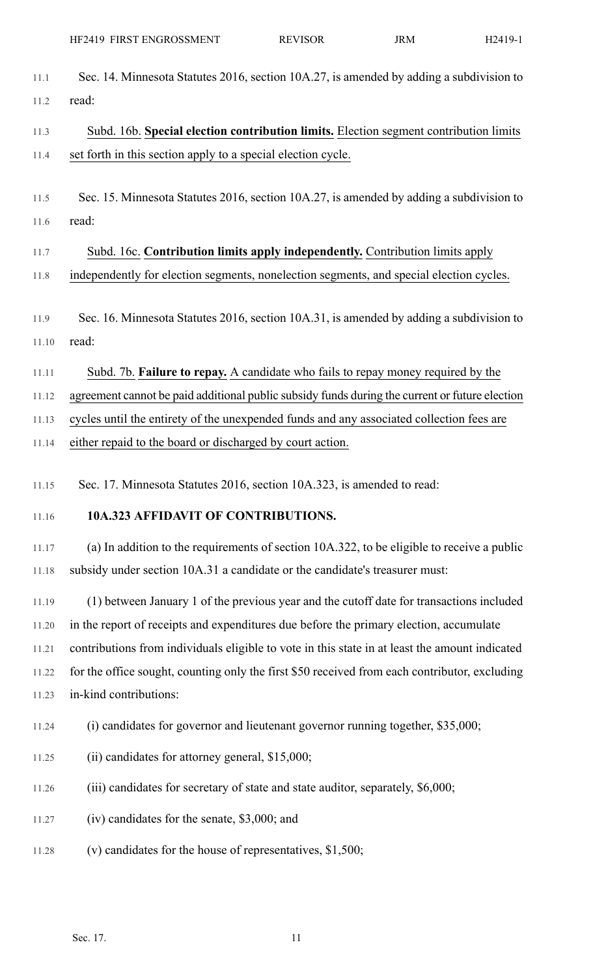11.1 Sec. 14. Minnesota Statutes 2016, section 10A.27, is amended by adding a subdivision to 11.2 read:

11.3 Subd. 16b. **Special election contribution limits.** Election segment contribution limits 11.4 set forth in this section apply to a special election cycle.

- 11.5 Sec. 15. Minnesota Statutes 2016, section 10A.27, is amended by adding a subdivision to 11.6 read:
- 11.7 Subd. 16c. **Contribution limits apply independently.** Contribution limits apply 11.8 independently for election segments, nonelection segments, and special election cycles.
- 11.9 Sec. 16. Minnesota Statutes 2016, section 10A.31, is amended by adding a subdivision to 11.10 read:
- 11.11 Subd. 7b. **Failure to repay.** A candidate who fails to repay money required by the

11.12 agreement cannot be paid additional public subsidy funds during the current or future election

11.13 cycles until the entirety of the unexpended funds and any associated collection fees are

11.14 either repaid to the board or discharged by court action.

11.15 Sec. 17. Minnesota Statutes 2016, section 10A.323, is amended to read:

## 11.16 **10A.323 AFFIDAVIT OF CONTRIBUTIONS.**

11.17 (a) In addition to the requirements of section 10A.322, to be eligible to receive a public 11.18 subsidy under section 10A.31 a candidate or the candidate's treasurer must:

11.19 (1) between January 1 of the previous year and the cutoff date for transactions included 11.20 in the report of receipts and expenditures due before the primary election, accumulate 11.21 contributions from individuals eligible to vote in this state in at least the amount indicated 11.22 for the office sought, counting only the first \$50 received from each contributor, excluding 11.23 in-kind contributions:

- 11.24 (i) candidates for governor and lieutenant governor running together, \$35,000;
- 11.25 (ii) candidates for attorney general, \$15,000;
- 11.26 (iii) candidates for secretary of state and state auditor, separately, \$6,000;
- 11.27 (iv) candidates for the senate, \$3,000; and
- 11.28 (v) candidates for the house of representatives, \$1,500;